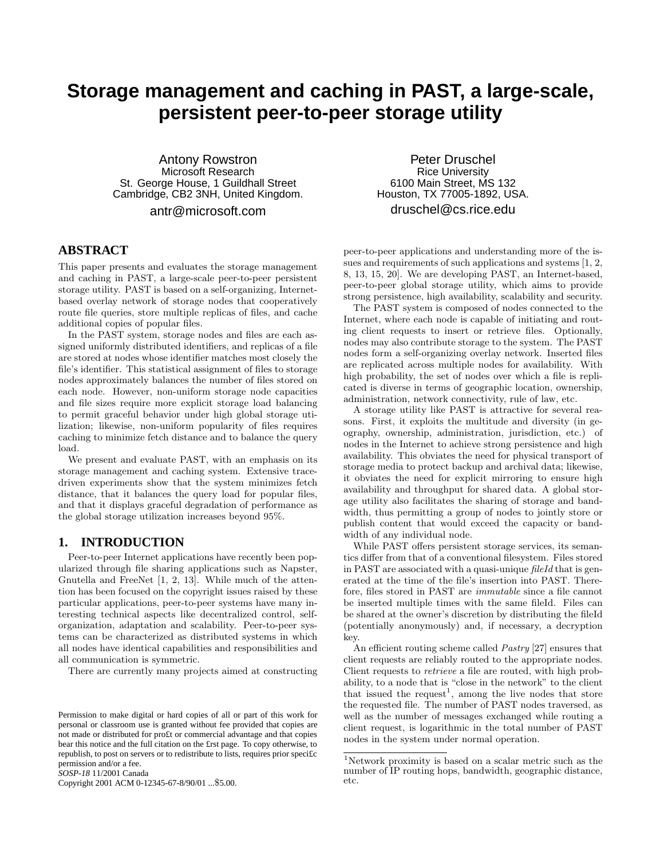# **Storage management and caching in PAST, a large-scale, persistent peer-to-peer storage utility**

Antony Rowstron Microsoft Research St. George House, 1 Guildhall Street Cambridge, CB2 3NH, United Kingdom.

antr@microsoft.com

# **ABSTRACT**

This paper presents and evaluates the storage management and caching in PAST, a large-scale peer-to-peer persistent storage utility. PAST is based on a self-organizing, Internetbased overlay network of storage nodes that cooperatively route file queries, store multiple replicas of files, and cache additional copies of popular files.

In the PAST system, storage nodes and files are each assigned uniformly distributed identifiers, and replicas of a file are stored at nodes whose identifier matches most closely the file's identifier. This statistical assignment of files to storage nodes approximately balances the number of files stored on each node. However, non-uniform storage node capacities and file sizes require more explicit storage load balancing to permit graceful behavior under high global storage utilization; likewise, non-uniform popularity of files requires caching to minimize fetch distance and to balance the query load.

We present and evaluate PAST, with an emphasis on its storage management and caching system. Extensive tracedriven experiments show that the system minimizes fetch distance, that it balances the query load for popular files, and that it displays graceful degradation of performance as the global storage utilization increases beyond 95%.

# **1. INTRODUCTION**

Peer-to-peer Internet applications have recently been popularized through file sharing applications such as Napster, Gnutella and FreeNet [1, 2, 13]. While much of the attention has been focused on the copyright issues raised by these particular applications, peer-to-peer systems have many interesting technical aspects like decentralized control, selforganization, adaptation and scalability. Peer-to-peer systems can be characterized as distributed systems in which all nodes have identical capabilities and responsibilities and all communication is symmetric.

There are currently many projects aimed at constructing

*SOSP-18* 11/2001 Canada

Copyright 2001 ACM 0-12345-67-8/90/01 ...\$5.00.

Peter Druschel Rice University 6100 Main Street, MS 132 Houston, TX 77005-1892, USA. druschel@cs.rice.edu

peer-to-peer applications and understanding more of the issues and requirements of such applications and systems [1, 2, 8, 13, 15, 20]. We are developing PAST, an Internet-based, peer-to-peer global storage utility, which aims to provide strong persistence, high availability, scalability and security.

The PAST system is composed of nodes connected to the Internet, where each node is capable of initiating and routing client requests to insert or retrieve files. Optionally, nodes may also contribute storage to the system. The PAST nodes form a self-organizing overlay network. Inserted files are replicated across multiple nodes for availability. With high probability, the set of nodes over which a file is replicated is diverse in terms of geographic location, ownership, administration, network connectivity, rule of law, etc.

A storage utility like PAST is attractive for several reasons. First, it exploits the multitude and diversity (in geography, ownership, administration, jurisdiction, etc.) of nodes in the Internet to achieve strong persistence and high availability. This obviates the need for physical transport of storage media to protect backup and archival data; likewise, it obviates the need for explicit mirroring to ensure high availability and throughput for shared data. A global storage utility also facilitates the sharing of storage and bandwidth, thus permitting a group of nodes to jointly store or publish content that would exceed the capacity or bandwidth of any individual node.

While PAST offers persistent storage services, its semantics differ from that of a conventional filesystem. Files stored in PAST are associated with a quasi-unique *fileId* that is generated at the time of the file's insertion into PAST. Therefore, files stored in PAST are immutable since a file cannot be inserted multiple times with the same fileId. Files can be shared at the owner's discretion by distributing the fileId (potentially anonymously) and, if necessary, a decryption key.

An efficient routing scheme called Pastry [27] ensures that client requests are reliably routed to the appropriate nodes. Client requests to retrieve a file are routed, with high probability, to a node that is "close in the network" to the client that issued the request<sup>1</sup>, among the live nodes that store the requested file. The number of PAST nodes traversed, as well as the number of messages exchanged while routing a client request, is logarithmic in the total number of PAST nodes in the system under normal operation.

Permission to make digital or hard copies of all or part of this work for personal or classroom use is granted without fee provided that copies are not made or distributed for pro£t or commercial advantage and that copies bear this notice and the full citation on the £rst page. To copy otherwise, to republish, to post on servers or to redistribute to lists, requires prior speci£c permission and/or a fee.

<sup>1</sup>Network proximity is based on a scalar metric such as the number of IP routing hops, bandwidth, geographic distance, etc.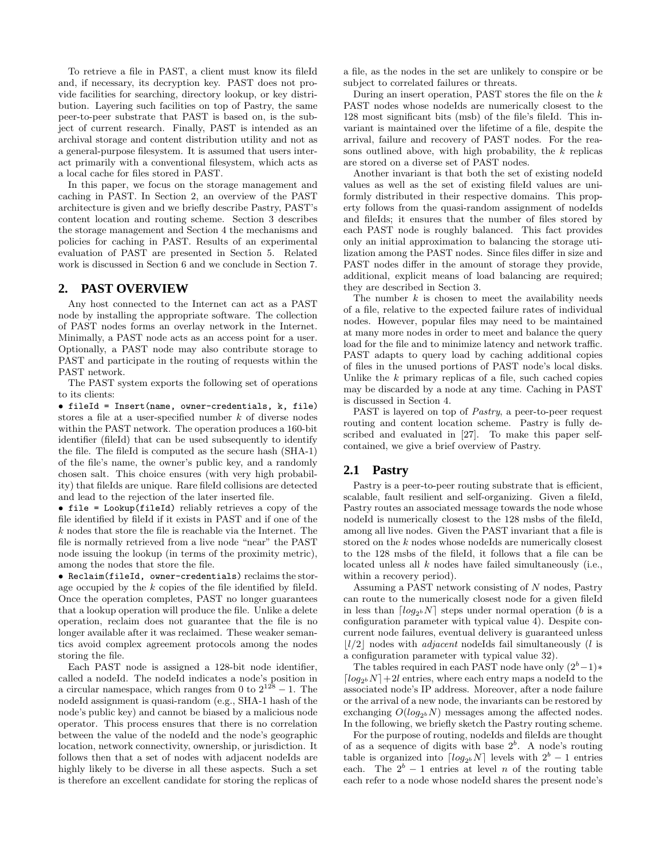To retrieve a file in PAST, a client must know its fileId and, if necessary, its decryption key. PAST does not provide facilities for searching, directory lookup, or key distribution. Layering such facilities on top of Pastry, the same peer-to-peer substrate that PAST is based on, is the subject of current research. Finally, PAST is intended as an archival storage and content distribution utility and not as a general-purpose filesystem. It is assumed that users interact primarily with a conventional filesystem, which acts as a local cache for files stored in PAST.

In this paper, we focus on the storage management and caching in PAST. In Section 2, an overview of the PAST architecture is given and we briefly describe Pastry, PAST's content location and routing scheme. Section 3 describes the storage management and Section 4 the mechanisms and policies for caching in PAST. Results of an experimental evaluation of PAST are presented in Section 5. Related work is discussed in Section 6 and we conclude in Section 7.

#### **2. PAST OVERVIEW**

Any host connected to the Internet can act as a PAST node by installing the appropriate software. The collection of PAST nodes forms an overlay network in the Internet. Minimally, a PAST node acts as an access point for a user. Optionally, a PAST node may also contribute storage to PAST and participate in the routing of requests within the PAST network.

The PAST system exports the following set of operations to its clients:

• fileId = Insert(name, owner-credentials, k, file) stores a file at a user-specified number  $k$  of diverse nodes within the PAST network. The operation produces a 160-bit identifier (fileId) that can be used subsequently to identify the file. The fileId is computed as the secure hash (SHA-1) of the file's name, the owner's public key, and a randomly chosen salt. This choice ensures (with very high probability) that fileIds are unique. Rare fileId collisions are detected and lead to the rejection of the later inserted file.

• file = Lookup(fileId) reliably retrieves a copy of the file identified by fileId if it exists in PAST and if one of the  $k$  nodes that store the file is reachable via the Internet. The file is normally retrieved from a live node "near" the PAST node issuing the lookup (in terms of the proximity metric), among the nodes that store the file.

• Reclaim(fileId, owner-credentials) reclaims the storage occupied by the k copies of the file identified by fileId. Once the operation completes, PAST no longer guarantees that a lookup operation will produce the file. Unlike a delete operation, reclaim does not guarantee that the file is no longer available after it was reclaimed. These weaker semantics avoid complex agreement protocols among the nodes storing the file.

Each PAST node is assigned a 128-bit node identifier, called a nodeId. The nodeId indicates a node's position in a circular namespace, which ranges from 0 to  $2^{128} - 1$ . The nodeId assignment is quasi-random (e.g., SHA-1 hash of the node's public key) and cannot be biased by a malicious node operator. This process ensures that there is no correlation between the value of the nodeId and the node's geographic location, network connectivity, ownership, or jurisdiction. It follows then that a set of nodes with adjacent nodeIds are highly likely to be diverse in all these aspects. Such a set is therefore an excellent candidate for storing the replicas of a file, as the nodes in the set are unlikely to conspire or be subject to correlated failures or threats.

During an insert operation, PAST stores the file on the  $k$ PAST nodes whose nodeIds are numerically closest to the 128 most significant bits (msb) of the file's fileId. This invariant is maintained over the lifetime of a file, despite the arrival, failure and recovery of PAST nodes. For the reasons outlined above, with high probability, the  $k$  replicas are stored on a diverse set of PAST nodes.

Another invariant is that both the set of existing nodeId values as well as the set of existing fileId values are uniformly distributed in their respective domains. This property follows from the quasi-random assignment of nodeIds and fileIds; it ensures that the number of files stored by each PAST node is roughly balanced. This fact provides only an initial approximation to balancing the storage utilization among the PAST nodes. Since files differ in size and PAST nodes differ in the amount of storage they provide, additional, explicit means of load balancing are required; they are described in Section 3.

The number  $k$  is chosen to meet the availability needs of a file, relative to the expected failure rates of individual nodes. However, popular files may need to be maintained at many more nodes in order to meet and balance the query load for the file and to minimize latency and network traffic. PAST adapts to query load by caching additional copies of files in the unused portions of PAST node's local disks. Unlike the  $k$  primary replicas of a file, such cached copies may be discarded by a node at any time. Caching in PAST is discussed in Section 4.

PAST is layered on top of Pastry, a peer-to-peer request routing and content location scheme. Pastry is fully described and evaluated in [27]. To make this paper selfcontained, we give a brief overview of Pastry.

## **2.1 Pastry**

Pastry is a peer-to-peer routing substrate that is efficient, scalable, fault resilient and self-organizing. Given a fileId, Pastry routes an associated message towards the node whose nodeId is numerically closest to the 128 msbs of the fileId, among all live nodes. Given the PAST invariant that a file is stored on the k nodes whose nodeIds are numerically closest to the 128 msbs of the fileId, it follows that a file can be located unless all k nodes have failed simultaneously (i.e., within a recovery period).

Assuming a PAST network consisting of N nodes, Pastry can route to the numerically closest node for a given fileId in less than  $\lceil log_{2b} N \rceil$  steps under normal operation (b is a configuration parameter with typical value 4). Despite concurrent node failures, eventual delivery is guaranteed unless  $|l/2|$  nodes with *adjacent* nodeIds fail simultaneously (*l* is a configuration parameter with typical value 32).

The tables required in each PAST node have only  $(2<sup>b</sup> - 1)$ <sup>\*</sup>  $\lfloor log_{2b} N \rfloor + 2l$  entries, where each entry maps a nodeId to the associated node's IP address. Moreover, after a node failure or the arrival of a new node, the invariants can be restored by exchanging  $O(log_{2b}N)$  messages among the affected nodes. In the following, we briefly sketch the Pastry routing scheme.

For the purpose of routing, nodeIds and fileIds are thought of as a sequence of digits with base  $2^b$ . A node's routing table is organized into  $\lceil log_{2b} N \rceil$  levels with  $2^b - 1$  entries each. The  $2^b - 1$  entries at level n of the routing table each refer to a node whose nodeId shares the present node's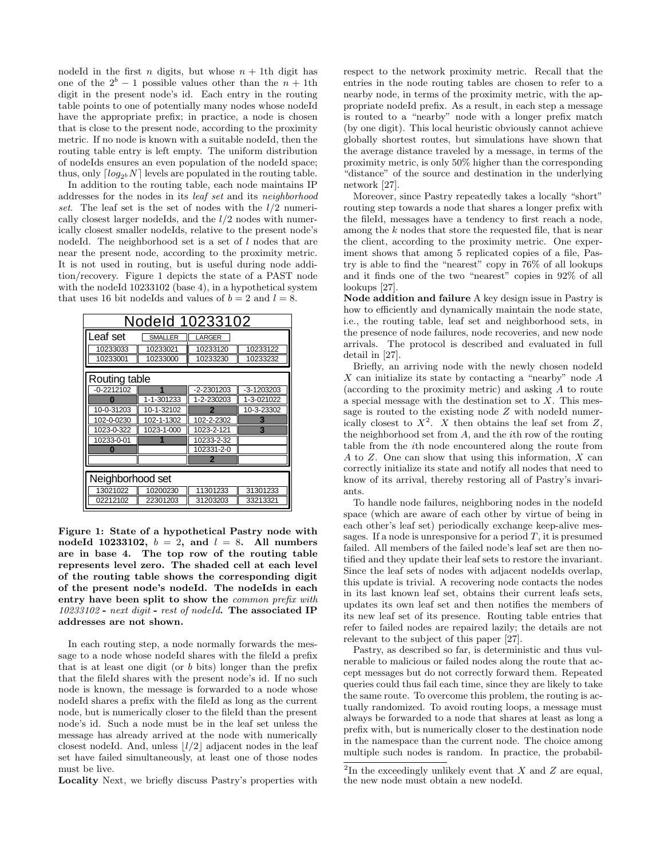nodeId in the first *n* digits, but whose  $n + 1$ th digit has one of the  $2^b - 1$  possible values other than the  $n + 1$ th digit in the present node's id. Each entry in the routing table points to one of potentially many nodes whose nodeId have the appropriate prefix; in practice, a node is chosen that is close to the present node, according to the proximity metric. If no node is known with a suitable nodeId, then the routing table entry is left empty. The uniform distribution of nodeIds ensures an even population of the nodeId space; thus, only  $\lceil log_{2b} N \rceil$  levels are populated in the routing table.

In addition to the routing table, each node maintains IP addresses for the nodes in its leaf set and its neighborhood set. The leaf set is the set of nodes with the  $l/2$  numerically closest larger nodeIds, and the  $l/2$  nodes with numerically closest smaller nodeIds, relative to the present node's nodeId. The neighborhood set is a set of l nodes that are near the present node, according to the proximity metric. It is not used in routing, but is useful during node addition/recovery. Figure 1 depicts the state of a PAST node with the nodeId  $10233102$  (base 4), in a hypothetical system that uses 16 bit nodeIds and values of  $b = 2$  and  $l = 8$ .

| Nodeld 10233102  |                |                |                |  |  |  |
|------------------|----------------|----------------|----------------|--|--|--|
| Leaf set         | <b>SMALLER</b> | <b>LARGER</b>  |                |  |  |  |
| 10233033         | 10233021       | 10233120       | 10233122       |  |  |  |
| 10233001         | 10233000       | 10233230       | 10233232       |  |  |  |
| Routing table    |                |                |                |  |  |  |
| $-0 - 2212102$   |                | $-2 - 2301203$ | $-3 - 1203203$ |  |  |  |
|                  | 1-1-301233     | 1-2-230203     | 1-3-021022     |  |  |  |
| 10-0-31203       | 10-1-32102     |                | 10-3-23302     |  |  |  |
| 102-0-0230       | 102-1-1302     | 102-2-2302     |                |  |  |  |
| 1023-0-322       | 1023-1-000     | 1023-2-121     | 3              |  |  |  |
| 10233-0-01       |                | 10233-2-32     |                |  |  |  |
|                  |                | 102331-2-0     |                |  |  |  |
|                  |                |                |                |  |  |  |
| Neighborhood set |                |                |                |  |  |  |
| 13021022         | 10200230       | 11301233       | 31301233       |  |  |  |
| 02212102         | 22301203       | 31203203       | 33213321       |  |  |  |

**Figure 1: State of a hypothetical Pastry node with nodeId 10233102,**  $b = 2$ , and  $l = 8$ . All numbers **are in base 4. The top row of the routing table represents level zero. The shaded cell at each level of the routing table shows the corresponding digit of the present node's nodeId. The nodeIds in each entry have been split to show the** common prefix with 10233102 **-** next digit **-** rest of nodeId**. The associated IP addresses are not shown.**

In each routing step, a node normally forwards the message to a node whose nodeId shares with the fileId a prefix that is at least one digit (or b bits) longer than the prefix that the fileId shares with the present node's id. If no such node is known, the message is forwarded to a node whose nodeId shares a prefix with the fileId as long as the current node, but is numerically closer to the fileId than the present node's id. Such a node must be in the leaf set unless the message has already arrived at the node with numerically closest nodeId. And, unless  $\lfloor l/2 \rfloor$  adjacent nodes in the leaf set have failed simultaneously, at least one of those nodes must be live.

**Locality** Next, we briefly discuss Pastry's properties with

respect to the network proximity metric. Recall that the entries in the node routing tables are chosen to refer to a nearby node, in terms of the proximity metric, with the appropriate nodeId prefix. As a result, in each step a message is routed to a "nearby" node with a longer prefix match (by one digit). This local heuristic obviously cannot achieve globally shortest routes, but simulations have shown that the average distance traveled by a message, in terms of the proximity metric, is only 50% higher than the corresponding "distance" of the source and destination in the underlying network [27].

Moreover, since Pastry repeatedly takes a locally "short" routing step towards a node that shares a longer prefix with the fileId, messages have a tendency to first reach a node, among the  $k$  nodes that store the requested file, that is near the client, according to the proximity metric. One experiment shows that among 5 replicated copies of a file, Pastry is able to find the "nearest" copy in 76% of all lookups and it finds one of the two "nearest" copies in 92% of all lookups [27].

**Node addition and failure** A key design issue in Pastry is how to efficiently and dynamically maintain the node state, i.e., the routing table, leaf set and neighborhood sets, in the presence of node failures, node recoveries, and new node arrivals. The protocol is described and evaluated in full detail in [27].

Briefly, an arriving node with the newly chosen nodeId X can initialize its state by contacting a "nearby" node A (according to the proximity metric) and asking A to route a special message with the destination set to  $X$ . This message is routed to the existing node  $Z$  with nodeId numerically closest to  $X^2$ . X then obtains the leaf set from Z, the neighborhood set from  $A$ , and the *i*th row of the routing table from the ith node encountered along the route from  $A$  to  $Z$ . One can show that using this information,  $X$  can correctly initialize its state and notify all nodes that need to know of its arrival, thereby restoring all of Pastry's invariants.

To handle node failures, neighboring nodes in the nodeId space (which are aware of each other by virtue of being in each other's leaf set) periodically exchange keep-alive messages. If a node is unresponsive for a period  $T$ , it is presumed failed. All members of the failed node's leaf set are then notified and they update their leaf sets to restore the invariant. Since the leaf sets of nodes with adjacent nodeIds overlap, this update is trivial. A recovering node contacts the nodes in its last known leaf set, obtains their current leafs sets, updates its own leaf set and then notifies the members of its new leaf set of its presence. Routing table entries that refer to failed nodes are repaired lazily; the details are not relevant to the subject of this paper [27].

Pastry, as described so far, is deterministic and thus vulnerable to malicious or failed nodes along the route that accept messages but do not correctly forward them. Repeated queries could thus fail each time, since they are likely to take the same route. To overcome this problem, the routing is actually randomized. To avoid routing loops, a message must always be forwarded to a node that shares at least as long a prefix with, but is numerically closer to the destination node in the namespace than the current node. The choice among multiple such nodes is random. In practice, the probabil-

<sup>&</sup>lt;sup>2</sup>In the exceedingly unlikely event that  $X$  and  $Z$  are equal, the new node must obtain a new nodeId.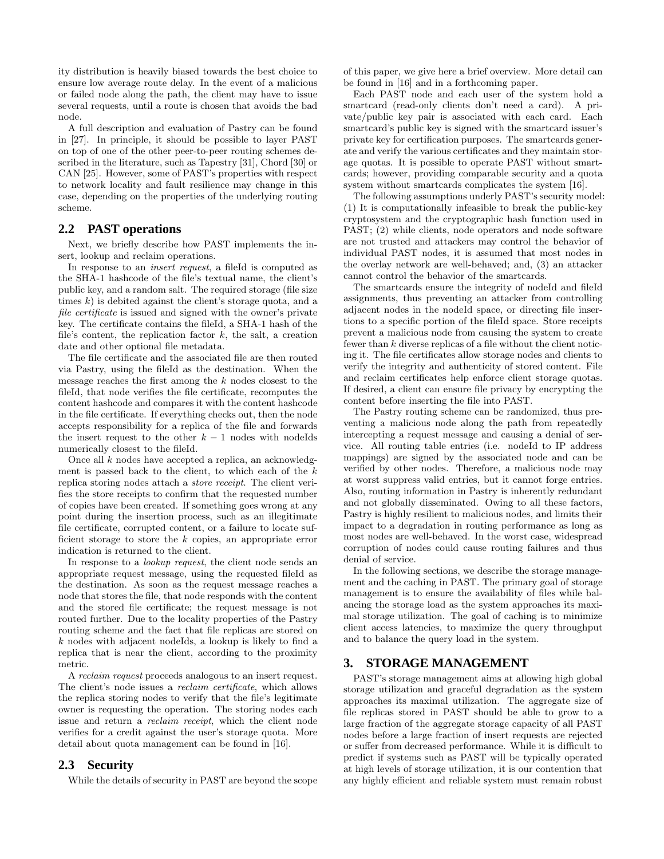ity distribution is heavily biased towards the best choice to ensure low average route delay. In the event of a malicious or failed node along the path, the client may have to issue several requests, until a route is chosen that avoids the bad node.

A full description and evaluation of Pastry can be found in [27]. In principle, it should be possible to layer PAST on top of one of the other peer-to-peer routing schemes described in the literature, such as Tapestry [31], Chord [30] or CAN [25]. However, some of PAST's properties with respect to network locality and fault resilience may change in this case, depending on the properties of the underlying routing scheme.

#### **2.2 PAST operations**

Next, we briefly describe how PAST implements the insert, lookup and reclaim operations.

In response to an *insert request*, a fileId is computed as the SHA-1 hashcode of the file's textual name, the client's public key, and a random salt. The required storage (file size times  $k$ ) is debited against the client's storage quota, and a file certificate is issued and signed with the owner's private key. The certificate contains the fileId, a SHA-1 hash of the file's content, the replication factor  $k$ , the salt, a creation date and other optional file metadata.

The file certificate and the associated file are then routed via Pastry, using the fileId as the destination. When the message reaches the first among the k nodes closest to the fileId, that node verifies the file certificate, recomputes the content hashcode and compares it with the content hashcode in the file certificate. If everything checks out, then the node accepts responsibility for a replica of the file and forwards the insert request to the other  $k - 1$  nodes with nodeIds numerically closest to the fileId.

Once all k nodes have accepted a replica, an acknowledgment is passed back to the client, to which each of the  $k$ replica storing nodes attach a store receipt. The client verifies the store receipts to confirm that the requested number of copies have been created. If something goes wrong at any point during the insertion process, such as an illegitimate file certificate, corrupted content, or a failure to locate sufficient storage to store the k copies, an appropriate error indication is returned to the client.

In response to a lookup request, the client node sends an appropriate request message, using the requested fileId as the destination. As soon as the request message reaches a node that stores the file, that node responds with the content and the stored file certificate; the request message is not routed further. Due to the locality properties of the Pastry routing scheme and the fact that file replicas are stored on k nodes with adjacent nodeIds, a lookup is likely to find a replica that is near the client, according to the proximity metric.

A reclaim request proceeds analogous to an insert request. The client's node issues a reclaim certificate, which allows the replica storing nodes to verify that the file's legitimate owner is requesting the operation. The storing nodes each issue and return a reclaim receipt, which the client node verifies for a credit against the user's storage quota. More detail about quota management can be found in [16].

## **2.3 Security**

While the details of security in PAST are beyond the scope

of this paper, we give here a brief overview. More detail can be found in [16] and in a forthcoming paper.

Each PAST node and each user of the system hold a smartcard (read-only clients don't need a card). A private/public key pair is associated with each card. Each smartcard's public key is signed with the smartcard issuer's private key for certification purposes. The smartcards generate and verify the various certificates and they maintain storage quotas. It is possible to operate PAST without smartcards; however, providing comparable security and a quota system without smartcards complicates the system [16].

The following assumptions underly PAST's security model: (1) It is computationally infeasible to break the public-key cryptosystem and the cryptographic hash function used in PAST; (2) while clients, node operators and node software are not trusted and attackers may control the behavior of individual PAST nodes, it is assumed that most nodes in the overlay network are well-behaved; and, (3) an attacker cannot control the behavior of the smartcards.

The smartcards ensure the integrity of nodeId and fileId assignments, thus preventing an attacker from controlling adjacent nodes in the nodeId space, or directing file insertions to a specific portion of the fileId space. Store receipts prevent a malicious node from causing the system to create fewer than  $k$  diverse replicas of a file without the client noticing it. The file certificates allow storage nodes and clients to verify the integrity and authenticity of stored content. File and reclaim certificates help enforce client storage quotas. If desired, a client can ensure file privacy by encrypting the content before inserting the file into PAST.

The Pastry routing scheme can be randomized, thus preventing a malicious node along the path from repeatedly intercepting a request message and causing a denial of service. All routing table entries (i.e. nodeId to IP address mappings) are signed by the associated node and can be verified by other nodes. Therefore, a malicious node may at worst suppress valid entries, but it cannot forge entries. Also, routing information in Pastry is inherently redundant and not globally disseminated. Owing to all these factors, Pastry is highly resilient to malicious nodes, and limits their impact to a degradation in routing performance as long as most nodes are well-behaved. In the worst case, widespread corruption of nodes could cause routing failures and thus denial of service.

In the following sections, we describe the storage management and the caching in PAST. The primary goal of storage management is to ensure the availability of files while balancing the storage load as the system approaches its maximal storage utilization. The goal of caching is to minimize client access latencies, to maximize the query throughput and to balance the query load in the system.

# **3. STORAGE MANAGEMENT**

PAST's storage management aims at allowing high global storage utilization and graceful degradation as the system approaches its maximal utilization. The aggregate size of file replicas stored in PAST should be able to grow to a large fraction of the aggregate storage capacity of all PAST nodes before a large fraction of insert requests are rejected or suffer from decreased performance. While it is difficult to predict if systems such as PAST will be typically operated at high levels of storage utilization, it is our contention that any highly efficient and reliable system must remain robust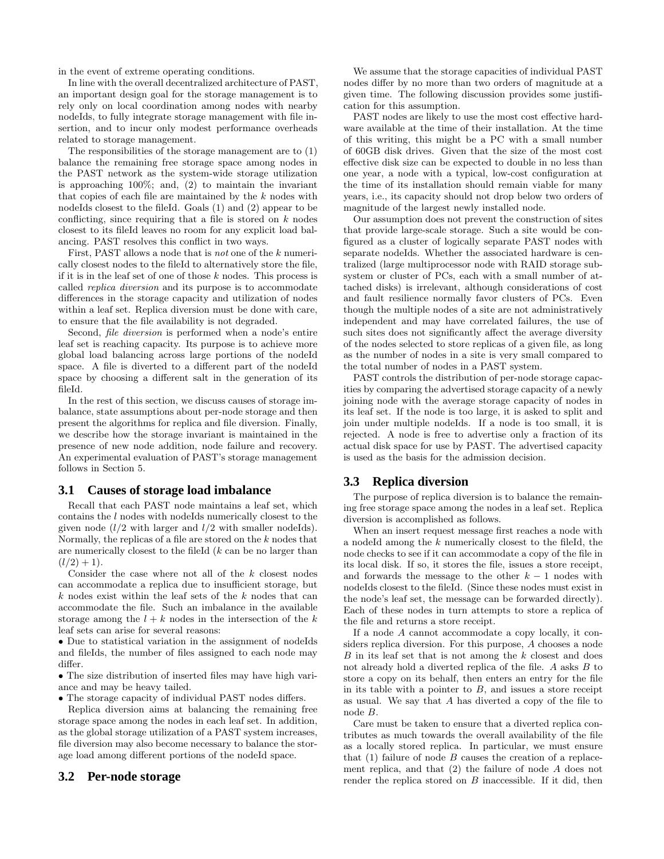in the event of extreme operating conditions.

In line with the overall decentralized architecture of PAST, an important design goal for the storage management is to rely only on local coordination among nodes with nearby nodeIds, to fully integrate storage management with file insertion, and to incur only modest performance overheads related to storage management.

The responsibilities of the storage management are to (1) balance the remaining free storage space among nodes in the PAST network as the system-wide storage utilization is approaching 100%; and, (2) to maintain the invariant that copies of each file are maintained by the  $k$  nodes with nodeIds closest to the fileId. Goals (1) and (2) appear to be conflicting, since requiring that a file is stored on  $k$  nodes closest to its fileId leaves no room for any explicit load balancing. PAST resolves this conflict in two ways.

First, PAST allows a node that is *not* one of the k numerically closest nodes to the fileId to alternatively store the file, if it is in the leaf set of one of those  $k$  nodes. This process is called replica diversion and its purpose is to accommodate differences in the storage capacity and utilization of nodes within a leaf set. Replica diversion must be done with care, to ensure that the file availability is not degraded.

Second, file diversion is performed when a node's entire leaf set is reaching capacity. Its purpose is to achieve more global load balancing across large portions of the nodeId space. A file is diverted to a different part of the nodeId space by choosing a different salt in the generation of its fileId.

In the rest of this section, we discuss causes of storage imbalance, state assumptions about per-node storage and then present the algorithms for replica and file diversion. Finally, we describe how the storage invariant is maintained in the presence of new node addition, node failure and recovery. An experimental evaluation of PAST's storage management follows in Section 5.

#### **3.1 Causes of storage load imbalance**

Recall that each PAST node maintains a leaf set, which contains the l nodes with nodeIds numerically closest to the given node  $(l/2$  with larger and  $l/2$  with smaller nodeIds). Normally, the replicas of a file are stored on the  $k$  nodes that are numerically closest to the fileId (k can be no larger than  $(l/2) + 1$ .

Consider the case where not all of the  $k$  closest nodes can accommodate a replica due to insufficient storage, but  $k$  nodes exist within the leaf sets of the  $k$  nodes that can accommodate the file. Such an imbalance in the available storage among the  $l + k$  nodes in the intersection of the  $k$ leaf sets can arise for several reasons:

• Due to statistical variation in the assignment of nodeIds and fileIds, the number of files assigned to each node may differ.

• The size distribution of inserted files may have high variance and may be heavy tailed.

• The storage capacity of individual PAST nodes differs.

Replica diversion aims at balancing the remaining free storage space among the nodes in each leaf set. In addition, as the global storage utilization of a PAST system increases, file diversion may also become necessary to balance the storage load among different portions of the nodeId space.

#### **3.2 Per-node storage**

We assume that the storage capacities of individual PAST nodes differ by no more than two orders of magnitude at a given time. The following discussion provides some justification for this assumption.

PAST nodes are likely to use the most cost effective hardware available at the time of their installation. At the time of this writing, this might be a PC with a small number of 60GB disk drives. Given that the size of the most cost effective disk size can be expected to double in no less than one year, a node with a typical, low-cost configuration at the time of its installation should remain viable for many years, i.e., its capacity should not drop below two orders of magnitude of the largest newly installed node.

Our assumption does not prevent the construction of sites that provide large-scale storage. Such a site would be configured as a cluster of logically separate PAST nodes with separate nodeIds. Whether the associated hardware is centralized (large multiprocessor node with RAID storage subsystem or cluster of PCs, each with a small number of attached disks) is irrelevant, although considerations of cost and fault resilience normally favor clusters of PCs. Even though the multiple nodes of a site are not administratively independent and may have correlated failures, the use of such sites does not significantly affect the average diversity of the nodes selected to store replicas of a given file, as long as the number of nodes in a site is very small compared to the total number of nodes in a PAST system.

PAST controls the distribution of per-node storage capacities by comparing the advertised storage capacity of a newly joining node with the average storage capacity of nodes in its leaf set. If the node is too large, it is asked to split and join under multiple nodeIds. If a node is too small, it is rejected. A node is free to advertise only a fraction of its actual disk space for use by PAST. The advertised capacity is used as the basis for the admission decision.

## **3.3 Replica diversion**

The purpose of replica diversion is to balance the remaining free storage space among the nodes in a leaf set. Replica diversion is accomplished as follows.

When an insert request message first reaches a node with a nodeId among the k numerically closest to the fileId, the node checks to see if it can accommodate a copy of the file in its local disk. If so, it stores the file, issues a store receipt, and forwards the message to the other  $k - 1$  nodes with nodeIds closest to the fileId. (Since these nodes must exist in the node's leaf set, the message can be forwarded directly). Each of these nodes in turn attempts to store a replica of the file and returns a store receipt.

If a node A cannot accommodate a copy locally, it considers replica diversion. For this purpose, A chooses a node B in its leaf set that is not among the k closest and does not already hold a diverted replica of the file. A asks B to store a copy on its behalf, then enters an entry for the file in its table with a pointer to  $B$ , and issues a store receipt as usual. We say that A has diverted a copy of the file to node B.

Care must be taken to ensure that a diverted replica contributes as much towards the overall availability of the file as a locally stored replica. In particular, we must ensure that  $(1)$  failure of node B causes the creation of a replacement replica, and that (2) the failure of node A does not render the replica stored on  $B$  inaccessible. If it did, then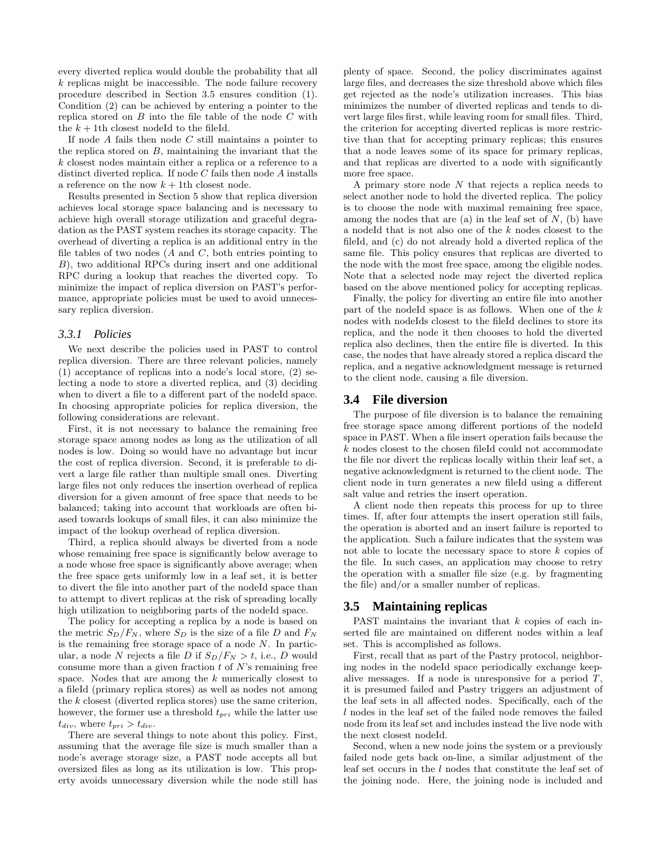every diverted replica would double the probability that all k replicas might be inaccessible. The node failure recovery procedure described in Section 3.5 ensures condition (1). Condition (2) can be achieved by entering a pointer to the replica stored on  $B$  into the file table of the node  $C$  with the  $k + 1$ th closest nodeId to the fileId.

If node  $A$  fails then node  $C$  still maintains a pointer to the replica stored on B, maintaining the invariant that the k closest nodes maintain either a replica or a reference to a distinct diverted replica. If node C fails then node A installs a reference on the now  $k + 1$ th closest node.

Results presented in Section 5 show that replica diversion achieves local storage space balancing and is necessary to achieve high overall storage utilization and graceful degradation as the PAST system reaches its storage capacity. The overhead of diverting a replica is an additional entry in the file tables of two nodes  $(A \text{ and } C, \text{ both entries pointing to})$ B), two additional RPCs during insert and one additional RPC during a lookup that reaches the diverted copy. To minimize the impact of replica diversion on PAST's performance, appropriate policies must be used to avoid unnecessary replica diversion.

#### *3.3.1 Policies*

We next describe the policies used in PAST to control replica diversion. There are three relevant policies, namely (1) acceptance of replicas into a node's local store, (2) selecting a node to store a diverted replica, and (3) deciding when to divert a file to a different part of the nodeId space. In choosing appropriate policies for replica diversion, the following considerations are relevant.

First, it is not necessary to balance the remaining free storage space among nodes as long as the utilization of all nodes is low. Doing so would have no advantage but incur the cost of replica diversion. Second, it is preferable to divert a large file rather than multiple small ones. Diverting large files not only reduces the insertion overhead of replica diversion for a given amount of free space that needs to be balanced; taking into account that workloads are often biased towards lookups of small files, it can also minimize the impact of the lookup overhead of replica diversion.

Third, a replica should always be diverted from a node whose remaining free space is significantly below average to a node whose free space is significantly above average; when the free space gets uniformly low in a leaf set, it is better to divert the file into another part of the nodeId space than to attempt to divert replicas at the risk of spreading locally high utilization to neighboring parts of the nodeId space.

The policy for accepting a replica by a node is based on the metric  $S_D/F_N$ , where  $S_D$  is the size of a file D and  $F_N$ is the remaining free storage space of a node  $N$ . In particular, a node N rejects a file D if  $S_D/F_N > t$ , i.e., D would consume more than a given fraction  $t$  of  $N$ 's remaining free space. Nodes that are among the  $k$  numerically closest to a fileId (primary replica stores) as well as nodes not among the k closest (diverted replica stores) use the same criterion, however, the former use a threshold  $t_{pri}$  while the latter use  $t_{div}$ , where  $t_{pri} > t_{div}$ .

There are several things to note about this policy. First, assuming that the average file size is much smaller than a node's average storage size, a PAST node accepts all but oversized files as long as its utilization is low. This property avoids unnecessary diversion while the node still has

plenty of space. Second, the policy discriminates against large files, and decreases the size threshold above which files get rejected as the node's utilization increases. This bias minimizes the number of diverted replicas and tends to divert large files first, while leaving room for small files. Third, the criterion for accepting diverted replicas is more restrictive than that for accepting primary replicas; this ensures that a node leaves some of its space for primary replicas, and that replicas are diverted to a node with significantly more free space.

A primary store node N that rejects a replica needs to select another node to hold the diverted replica. The policy is to choose the node with maximal remaining free space, among the nodes that are  $(a)$  in the leaf set of  $N$ ,  $(b)$  have a nodeId that is not also one of the  $k$  nodes closest to the fileId, and (c) do not already hold a diverted replica of the same file. This policy ensures that replicas are diverted to the node with the most free space, among the eligible nodes. Note that a selected node may reject the diverted replica based on the above mentioned policy for accepting replicas.

Finally, the policy for diverting an entire file into another part of the nodeId space is as follows. When one of the  $k$ nodes with nodeIds closest to the fileId declines to store its replica, and the node it then chooses to hold the diverted replica also declines, then the entire file is diverted. In this case, the nodes that have already stored a replica discard the replica, and a negative acknowledgment message is returned to the client node, causing a file diversion.

## **3.4 File diversion**

The purpose of file diversion is to balance the remaining free storage space among different portions of the nodeId space in PAST. When a file insert operation fails because the k nodes closest to the chosen fileId could not accommodate the file nor divert the replicas locally within their leaf set, a negative acknowledgment is returned to the client node. The client node in turn generates a new fileId using a different salt value and retries the insert operation.

A client node then repeats this process for up to three times. If, after four attempts the insert operation still fails, the operation is aborted and an insert failure is reported to the application. Such a failure indicates that the system was not able to locate the necessary space to store k copies of the file. In such cases, an application may choose to retry the operation with a smaller file size (e.g. by fragmenting the file) and/or a smaller number of replicas.

# **3.5 Maintaining replicas**

PAST maintains the invariant that k copies of each inserted file are maintained on different nodes within a leaf set. This is accomplished as follows.

First, recall that as part of the Pastry protocol, neighboring nodes in the nodeId space periodically exchange keepalive messages. If a node is unresponsive for a period  $T$ , it is presumed failed and Pastry triggers an adjustment of the leaf sets in all affected nodes. Specifically, each of the l nodes in the leaf set of the failed node removes the failed node from its leaf set and includes instead the live node with the next closest nodeId.

Second, when a new node joins the system or a previously failed node gets back on-line, a similar adjustment of the leaf set occurs in the l nodes that constitute the leaf set of the joining node. Here, the joining node is included and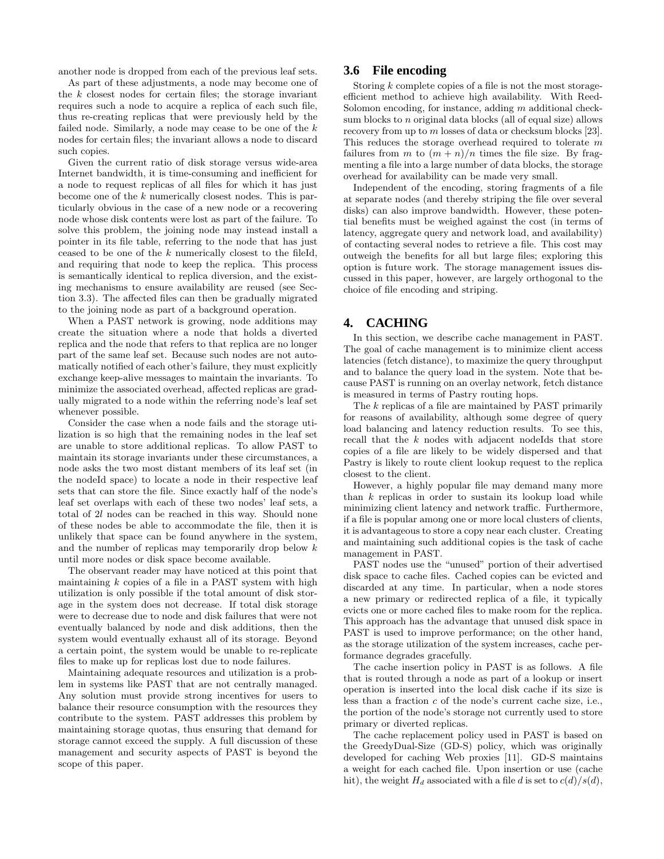another node is dropped from each of the previous leaf sets.

As part of these adjustments, a node may become one of the  $k$  closest nodes for certain files; the storage invariant requires such a node to acquire a replica of each such file, thus re-creating replicas that were previously held by the failed node. Similarly, a node may cease to be one of the  $k$ nodes for certain files; the invariant allows a node to discard such copies.

Given the current ratio of disk storage versus wide-area Internet bandwidth, it is time-consuming and inefficient for a node to request replicas of all files for which it has just become one of the k numerically closest nodes. This is particularly obvious in the case of a new node or a recovering node whose disk contents were lost as part of the failure. To solve this problem, the joining node may instead install a pointer in its file table, referring to the node that has just ceased to be one of the k numerically closest to the fileId, and requiring that node to keep the replica. This process is semantically identical to replica diversion, and the existing mechanisms to ensure availability are reused (see Section 3.3). The affected files can then be gradually migrated to the joining node as part of a background operation.

When a PAST network is growing, node additions may create the situation where a node that holds a diverted replica and the node that refers to that replica are no longer part of the same leaf set. Because such nodes are not automatically notified of each other's failure, they must explicitly exchange keep-alive messages to maintain the invariants. To minimize the associated overhead, affected replicas are gradually migrated to a node within the referring node's leaf set whenever possible.

Consider the case when a node fails and the storage utilization is so high that the remaining nodes in the leaf set are unable to store additional replicas. To allow PAST to maintain its storage invariants under these circumstances, a node asks the two most distant members of its leaf set (in the nodeId space) to locate a node in their respective leaf sets that can store the file. Since exactly half of the node's leaf set overlaps with each of these two nodes' leaf sets, a total of 2l nodes can be reached in this way. Should none of these nodes be able to accommodate the file, then it is unlikely that space can be found anywhere in the system, and the number of replicas may temporarily drop below k until more nodes or disk space become available.

The observant reader may have noticed at this point that maintaining  $k$  copies of a file in a PAST system with high utilization is only possible if the total amount of disk storage in the system does not decrease. If total disk storage were to decrease due to node and disk failures that were not eventually balanced by node and disk additions, then the system would eventually exhaust all of its storage. Beyond a certain point, the system would be unable to re-replicate files to make up for replicas lost due to node failures.

Maintaining adequate resources and utilization is a problem in systems like PAST that are not centrally managed. Any solution must provide strong incentives for users to balance their resource consumption with the resources they contribute to the system. PAST addresses this problem by maintaining storage quotas, thus ensuring that demand for storage cannot exceed the supply. A full discussion of these management and security aspects of PAST is beyond the scope of this paper.

## **3.6 File encoding**

Storing k complete copies of a file is not the most storageefficient method to achieve high availability. With Reed-Solomon encoding, for instance, adding  $m$  additional checksum blocks to n original data blocks (all of equal size) allows recovery from up to m losses of data or checksum blocks [23]. This reduces the storage overhead required to tolerate  $m$ failures from m to  $(m + n)/n$  times the file size. By fragmenting a file into a large number of data blocks, the storage overhead for availability can be made very small.

Independent of the encoding, storing fragments of a file at separate nodes (and thereby striping the file over several disks) can also improve bandwidth. However, these potential benefits must be weighed against the cost (in terms of latency, aggregate query and network load, and availability) of contacting several nodes to retrieve a file. This cost may outweigh the benefits for all but large files; exploring this option is future work. The storage management issues discussed in this paper, however, are largely orthogonal to the choice of file encoding and striping.

#### **4. CACHING**

In this section, we describe cache management in PAST. The goal of cache management is to minimize client access latencies (fetch distance), to maximize the query throughput and to balance the query load in the system. Note that because PAST is running on an overlay network, fetch distance is measured in terms of Pastry routing hops.

The k replicas of a file are maintained by PAST primarily for reasons of availability, although some degree of query load balancing and latency reduction results. To see this, recall that the  $k$  nodes with adjacent nodeIds that store copies of a file are likely to be widely dispersed and that Pastry is likely to route client lookup request to the replica closest to the client.

However, a highly popular file may demand many more than  $k$  replicas in order to sustain its lookup load while minimizing client latency and network traffic. Furthermore, if a file is popular among one or more local clusters of clients, it is advantageous to store a copy near each cluster. Creating and maintaining such additional copies is the task of cache management in PAST.

PAST nodes use the "unused" portion of their advertised disk space to cache files. Cached copies can be evicted and discarded at any time. In particular, when a node stores a new primary or redirected replica of a file, it typically evicts one or more cached files to make room for the replica. This approach has the advantage that unused disk space in PAST is used to improve performance; on the other hand, as the storage utilization of the system increases, cache performance degrades gracefully.

The cache insertion policy in PAST is as follows. A file that is routed through a node as part of a lookup or insert operation is inserted into the local disk cache if its size is less than a fraction c of the node's current cache size, i.e., the portion of the node's storage not currently used to store primary or diverted replicas.

The cache replacement policy used in PAST is based on the GreedyDual-Size (GD-S) policy, which was originally developed for caching Web proxies [11]. GD-S maintains a weight for each cached file. Upon insertion or use (cache hit), the weight  $H_d$  associated with a file d is set to  $c(d)/s(d)$ ,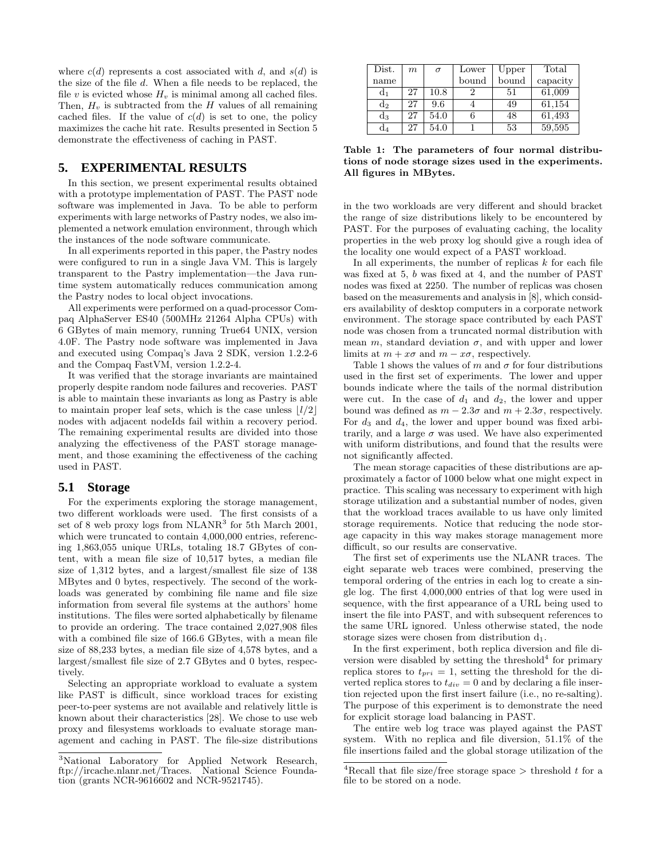where  $c(d)$  represents a cost associated with d, and  $s(d)$  is the size of the file d. When a file needs to be replaced, the file v is evicted whose  $H_v$  is minimal among all cached files. Then,  $H_v$  is subtracted from the H values of all remaining cached files. If the value of  $c(d)$  is set to one, the policy maximizes the cache hit rate. Results presented in Section 5 demonstrate the effectiveness of caching in PAST.

## **5. EXPERIMENTAL RESULTS**

In this section, we present experimental results obtained with a prototype implementation of PAST. The PAST node software was implemented in Java. To be able to perform experiments with large networks of Pastry nodes, we also implemented a network emulation environment, through which the instances of the node software communicate.

In all experiments reported in this paper, the Pastry nodes were configured to run in a single Java VM. This is largely transparent to the Pastry implementation—the Java runtime system automatically reduces communication among the Pastry nodes to local object invocations.

All experiments were performed on a quad-processor Compaq AlphaServer ES40 (500MHz 21264 Alpha CPUs) with 6 GBytes of main memory, running True64 UNIX, version 4.0F. The Pastry node software was implemented in Java and executed using Compaq's Java 2 SDK, version 1.2.2-6 and the Compaq FastVM, version 1.2.2-4.

It was verified that the storage invariants are maintained properly despite random node failures and recoveries. PAST is able to maintain these invariants as long as Pastry is able to maintain proper leaf sets, which is the case unless  $|l/2|$ nodes with adjacent nodeIds fail within a recovery period. The remaining experimental results are divided into those analyzing the effectiveness of the PAST storage management, and those examining the effectiveness of the caching used in PAST.

#### **5.1 Storage**

For the experiments exploring the storage management, two different workloads were used. The first consists of a set of 8 web proxy logs from  $NLANR<sup>3</sup>$  for 5th March 2001, which were truncated to contain 4,000,000 entries, referencing 1,863,055 unique URLs, totaling 18.7 GBytes of content, with a mean file size of 10,517 bytes, a median file size of 1,312 bytes, and a largest/smallest file size of 138 MBytes and 0 bytes, respectively. The second of the workloads was generated by combining file name and file size information from several file systems at the authors' home institutions. The files were sorted alphabetically by filename to provide an ordering. The trace contained 2,027,908 files with a combined file size of 166.6 GBytes, with a mean file size of 88,233 bytes, a median file size of 4,578 bytes, and a largest/smallest file size of 2.7 GBytes and 0 bytes, respectively.

Selecting an appropriate workload to evaluate a system like PAST is difficult, since workload traces for existing peer-to-peer systems are not available and relatively little is known about their characteristics [28]. We chose to use web proxy and filesystems workloads to evaluate storage management and caching in PAST. The file-size distributions

| Dist. | m  | σ    | Lower | Upper | Total    |
|-------|----|------|-------|-------|----------|
| name  |    |      | bound | bound | capacity |
| d1    | 27 | 10.8 |       | 51    | 61,009   |
| $d_2$ | 27 | 9.6  |       | 49    | 61,154   |
| d3    | 27 | 54.0 |       | 48    | 61,493   |
| d4    | 27 | 54.0 |       | 53    | 59,595   |

**Table 1: The parameters of four normal distributions of node storage sizes used in the experiments. All figures in MBytes.**

in the two workloads are very different and should bracket the range of size distributions likely to be encountered by PAST. For the purposes of evaluating caching, the locality properties in the web proxy log should give a rough idea of the locality one would expect of a PAST workload.

In all experiments, the number of replicas  $k$  for each file was fixed at 5, b was fixed at 4, and the number of PAST nodes was fixed at 2250. The number of replicas was chosen based on the measurements and analysis in [8], which considers availability of desktop computers in a corporate network environment. The storage space contributed by each PAST node was chosen from a truncated normal distribution with mean m, standard deviation  $\sigma$ , and with upper and lower limits at  $m + x\sigma$  and  $m - x\sigma$ , respectively.

Table 1 shows the values of m and  $\sigma$  for four distributions used in the first set of experiments. The lower and upper bounds indicate where the tails of the normal distribution were cut. In the case of  $d_1$  and  $d_2$ , the lower and upper bound was defined as  $m - 2.3\sigma$  and  $m + 2.3\sigma$ , respectively. For  $d_3$  and  $d_4$ , the lower and upper bound was fixed arbitrarily, and a large  $\sigma$  was used. We have also experimented with uniform distributions, and found that the results were not significantly affected.

The mean storage capacities of these distributions are approximately a factor of 1000 below what one might expect in practice. This scaling was necessary to experiment with high storage utilization and a substantial number of nodes, given that the workload traces available to us have only limited storage requirements. Notice that reducing the node storage capacity in this way makes storage management more difficult, so our results are conservative.

The first set of experiments use the NLANR traces. The eight separate web traces were combined, preserving the temporal ordering of the entries in each log to create a single log. The first 4,000,000 entries of that log were used in sequence, with the first appearance of a URL being used to insert the file into PAST, and with subsequent references to the same URL ignored. Unless otherwise stated, the node storage sizes were chosen from distribution  $d_1$ .

In the first experiment, both replica diversion and file diversion were disabled by setting the threshold<sup>4</sup> for primary replica stores to  $t_{pri} = 1$ , setting the threshold for the diverted replica stores to  $t_{div} = 0$  and by declaring a file insertion rejected upon the first insert failure (i.e., no re-salting). The purpose of this experiment is to demonstrate the need for explicit storage load balancing in PAST.

The entire web log trace was played against the PAST system. With no replica and file diversion, 51.1% of the file insertions failed and the global storage utilization of the

<sup>3</sup>National Laboratory for Applied Network Research, ftp://ircache.nlanr.net/Traces. National Science Foundation (grants NCR-9616602 and NCR-9521745).

<sup>&</sup>lt;sup>4</sup>Recall that file size/free storage space > threshold t for a file to be stored on a node.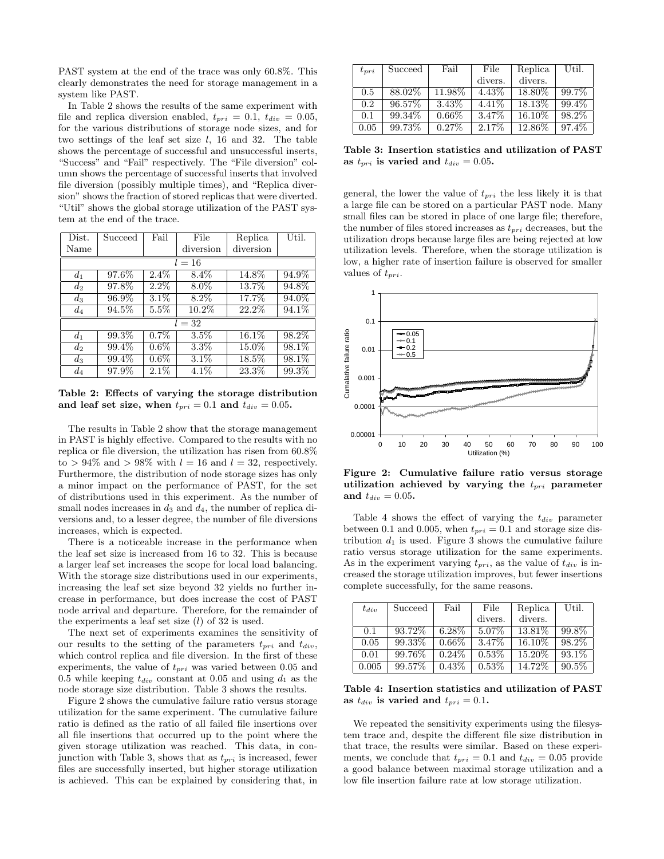PAST system at the end of the trace was only 60.8%. This clearly demonstrates the need for storage management in a system like PAST.

In Table 2 shows the results of the same experiment with file and replica diversion enabled,  $t_{pri} = 0.1$ ,  $t_{div} = 0.05$ , for the various distributions of storage node sizes, and for two settings of the leaf set size  $l$ , 16 and 32. The table shows the percentage of successful and unsuccessful inserts, "Success" and "Fail" respectively. The "File diversion" column shows the percentage of successful inserts that involved file diversion (possibly multiple times), and "Replica diversion" shows the fraction of stored replicas that were diverted. "Util" shows the global storage utilization of the PAST system at the end of the trace.

| Dist.<br>Name | Succeed  | Fail    | File<br>diversion | Replica<br>diversion | Util. |  |  |  |
|---------------|----------|---------|-------------------|----------------------|-------|--|--|--|
|               | $l = 16$ |         |                   |                      |       |  |  |  |
| $d_1$         | 97.6%    | $2.4\%$ | $8.4\%$           | 14.8%                | 94.9% |  |  |  |
| $d_2$         | 97.8%    | $2.2\%$ | $8.0\%$           | 13.7%                | 94.8% |  |  |  |
| $d_3$         | 96.9%    | $3.1\%$ | $8.2\%$           | 17.7%                | 94.0% |  |  |  |
| $d_4$         | 94.5%    | 5.5%    | 10.2%             | 22.2%                | 94.1% |  |  |  |
| $l=32$        |          |         |                   |                      |       |  |  |  |
| $d_1$         | 99.3%    | $0.7\%$ | 3.5%              | 16.1%                | 98.2% |  |  |  |
| $d_2$         | 99.4%    | $0.6\%$ | $3.3\%$           | 15.0%                | 98.1% |  |  |  |
| $d_3$         | 99.4%    | $0.6\%$ | 3.1%              | $18.5\%$             | 98.1% |  |  |  |
| $d_4$         | 97.9%    | 2.1%    | 4.1%              | 23.3%                | 99.3% |  |  |  |

**Table 2: Effects of varying the storage distribution** and leaf set size, when  $t_{pri} = 0.1$  and  $t_{div} = 0.05$ .

The results in Table 2 show that the storage management in PAST is highly effective. Compared to the results with no replica or file diversion, the utilization has risen from 60.8% to > 94% and > 98% with  $l = 16$  and  $l = 32$ , respectively. Furthermore, the distribution of node storage sizes has only a minor impact on the performance of PAST, for the set of distributions used in this experiment. As the number of small nodes increases in  $d_3$  and  $d_4$ , the number of replica diversions and, to a lesser degree, the number of file diversions increases, which is expected.

There is a noticeable increase in the performance when the leaf set size is increased from 16 to 32. This is because a larger leaf set increases the scope for local load balancing. With the storage size distributions used in our experiments, increasing the leaf set size beyond 32 yields no further increase in performance, but does increase the cost of PAST node arrival and departure. Therefore, for the remainder of the experiments a leaf set size  $(l)$  of 32 is used.

The next set of experiments examines the sensitivity of our results to the setting of the parameters  $t_{pri}$  and  $t_{div}$ , which control replica and file diversion. In the first of these experiments, the value of  $t_{pri}$  was varied between 0.05 and 0.5 while keeping  $t_{div}$  constant at 0.05 and using  $d_1$  as the node storage size distribution. Table 3 shows the results.

Figure 2 shows the cumulative failure ratio versus storage utilization for the same experiment. The cumulative failure ratio is defined as the ratio of all failed file insertions over all file insertions that occurred up to the point where the given storage utilization was reached. This data, in conjunction with Table 3, shows that as  $t_{pri}$  is increased, fewer files are successfully inserted, but higher storage utilization is achieved. This can be explained by considering that, in

| $t_{pri}$ | Succeed   | Fail     | File    | Replica | Util.    |
|-----------|-----------|----------|---------|---------|----------|
|           |           |          | divers. | divers. |          |
| 0.5       | 88.02\%   | 11.98%   | 4.43\%  | 18.80%  | $99.7\%$ |
| 0.2       | 96.57%    | $3.43\%$ | 4.41\%  | 18.13%  | $99.4\%$ |
| 0.1       | 99.34\%   | $0.66\%$ | 3.47\%  | 16.10\% | 98.2%    |
| 0.05      | $99.73\%$ | $0.27\%$ | 2.17\%  | 12.86%  | 97.4%    |

**Table 3: Insertion statistics and utilization of PAST** as  $t_{pri}$  is varied and  $t_{div} = 0.05$ .

general, the lower the value of  $t_{pri}$  the less likely it is that a large file can be stored on a particular PAST node. Many small files can be stored in place of one large file; therefore, the number of files stored increases as  $t_{pri}$  decreases, but the utilization drops because large files are being rejected at low utilization levels. Therefore, when the storage utilization is low, a higher rate of insertion failure is observed for smaller values of  $t_{pri}$ .



**Figure 2: Cumulative failure ratio versus storage** utilization achieved by varying the  $t_{pri}$  parameter **and**  $t_{div} = 0.05$ .

Table 4 shows the effect of varying the  $t_{div}$  parameter between 0.1 and 0.005, when  $t_{pri} = 0.1$  and storage size distribution  $d_1$  is used. Figure 3 shows the cumulative failure ratio versus storage utilization for the same experiments. As in the experiment varying  $t_{pri}$ , as the value of  $t_{div}$  is increased the storage utilization improves, but fewer insertions complete successfully, for the same reasons.

| $t_{div}$ | Succeed | Fail     | File     | Replica | Util.               |
|-----------|---------|----------|----------|---------|---------------------|
|           |         |          | divers.  | divers. |                     |
| 0.1       | 93.72\% | $6.28\%$ | 5.07%    | 13.81\% | 99.8%               |
| 0.05      | 99.33%  | $0.66\%$ | $3.47\%$ | 16.10%  | 98.2%               |
| 0.01      | 99.76%  | $0.24\%$ | $0.53\%$ | 15.20%  | $93.1\%$            |
| 0.005     | 99.57%  | $0.43\%$ | $0.53\%$ | 14.72\% | $90.\overline{5\%}$ |

**Table 4: Insertion statistics and utilization of PAST** as  $t_{div}$  is varied and  $t_{pri} = 0.1$ .

We repeated the sensitivity experiments using the filesystem trace and, despite the different file size distribution in that trace, the results were similar. Based on these experiments, we conclude that  $t_{pri} = 0.1$  and  $t_{div} = 0.05$  provide a good balance between maximal storage utilization and a low file insertion failure rate at low storage utilization.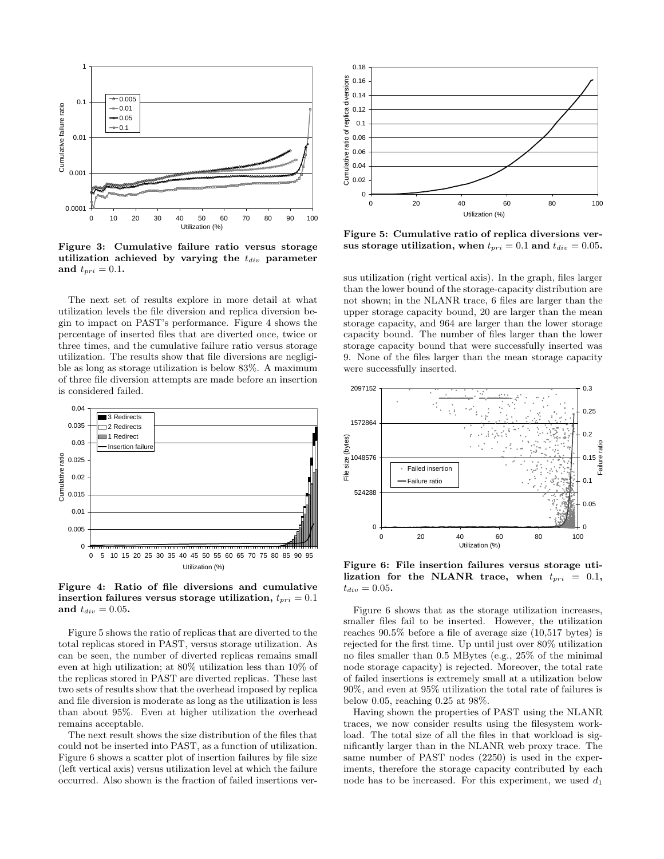

**Figure 3: Cumulative failure ratio versus storage** utilization achieved by varying the  $t_{div}$  parameter **and**  $t_{pri} = 0.1$ **.** 

The next set of results explore in more detail at what utilization levels the file diversion and replica diversion begin to impact on PAST's performance. Figure 4 shows the percentage of inserted files that are diverted once, twice or three times, and the cumulative failure ratio versus storage utilization. The results show that file diversions are negligible as long as storage utilization is below 83%. A maximum of three file diversion attempts are made before an insertion is considered failed.



**Figure 4: Ratio of file diversions and cumulative insertion failures versus storage utilization,**  $t_{pri} = 0.1$ **and**  $t_{div} = 0.05$ .

Figure 5 shows the ratio of replicas that are diverted to the total replicas stored in PAST, versus storage utilization. As can be seen, the number of diverted replicas remains small even at high utilization; at 80% utilization less than 10% of the replicas stored in PAST are diverted replicas. These last two sets of results show that the overhead imposed by replica and file diversion is moderate as long as the utilization is less than about 95%. Even at higher utilization the overhead remains acceptable.

The next result shows the size distribution of the files that could not be inserted into PAST, as a function of utilization. Figure 6 shows a scatter plot of insertion failures by file size (left vertical axis) versus utilization level at which the failure occurred. Also shown is the fraction of failed insertions ver-



**Figure 5: Cumulative ratio of replica diversions versus storage utilization, when**  $t_{pri} = 0.1$  **and**  $t_{div} = 0.05$ .

sus utilization (right vertical axis). In the graph, files larger than the lower bound of the storage-capacity distribution are not shown; in the NLANR trace, 6 files are larger than the upper storage capacity bound, 20 are larger than the mean storage capacity, and 964 are larger than the lower storage capacity bound. The number of files larger than the lower storage capacity bound that were successfully inserted was 9. None of the files larger than the mean storage capacity were successfully inserted.



**Figure 6: File insertion failures versus storage utilization for the NLANR trace, when**  $t_{pri} = 0.1$ ,  $t_{div} = 0.05$ .

Figure 6 shows that as the storage utilization increases, smaller files fail to be inserted. However, the utilization reaches 90.5% before a file of average size (10,517 bytes) is rejected for the first time. Up until just over 80% utilization no files smaller than 0.5 MBytes (e.g., 25% of the minimal node storage capacity) is rejected. Moreover, the total rate of failed insertions is extremely small at a utilization below 90%, and even at 95% utilization the total rate of failures is below 0.05, reaching 0.25 at 98%.

Having shown the properties of PAST using the NLANR traces, we now consider results using the filesystem workload. The total size of all the files in that workload is significantly larger than in the NLANR web proxy trace. The same number of PAST nodes (2250) is used in the experiments, therefore the storage capacity contributed by each node has to be increased. For this experiment, we used  $d_1$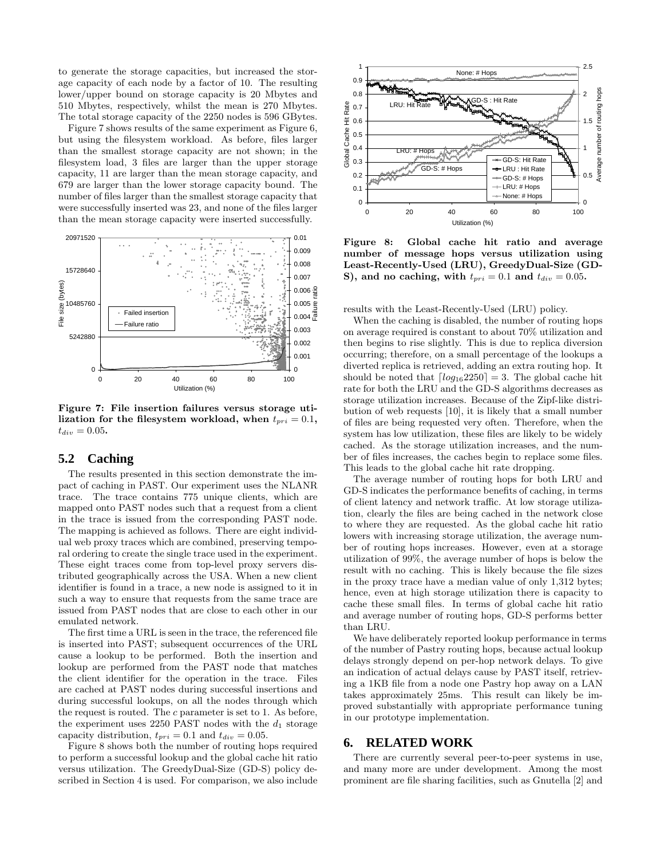to generate the storage capacities, but increased the storage capacity of each node by a factor of 10. The resulting lower/upper bound on storage capacity is 20 Mbytes and 510 Mbytes, respectively, whilst the mean is 270 Mbytes. The total storage capacity of the 2250 nodes is 596 GBytes.

Figure 7 shows results of the same experiment as Figure 6, but using the filesystem workload. As before, files larger than the smallest storage capacity are not shown; in the filesystem load, 3 files are larger than the upper storage capacity, 11 are larger than the mean storage capacity, and 679 are larger than the lower storage capacity bound. The number of files larger than the smallest storage capacity that were successfully inserted was 23, and none of the files larger than the mean storage capacity were inserted successfully.



**Figure 7: File insertion failures versus storage utilization for the filesystem workload, when**  $t_{pri} = 0.1$ ,  $t_{div} = 0.05$ .

# **5.2 Caching**

The results presented in this section demonstrate the impact of caching in PAST. Our experiment uses the NLANR trace. The trace contains 775 unique clients, which are mapped onto PAST nodes such that a request from a client in the trace is issued from the corresponding PAST node. The mapping is achieved as follows. There are eight individual web proxy traces which are combined, preserving temporal ordering to create the single trace used in the experiment. These eight traces come from top-level proxy servers distributed geographically across the USA. When a new client identifier is found in a trace, a new node is assigned to it in such a way to ensure that requests from the same trace are issued from PAST nodes that are close to each other in our emulated network.

The first time a URL is seen in the trace, the referenced file is inserted into PAST; subsequent occurrences of the URL cause a lookup to be performed. Both the insertion and lookup are performed from the PAST node that matches the client identifier for the operation in the trace. Files are cached at PAST nodes during successful insertions and during successful lookups, on all the nodes through which the request is routed. The c parameter is set to 1. As before, the experiment uses 2250 PAST nodes with the  $d_1$  storage capacity distribution,  $t_{pri} = 0.1$  and  $t_{div} = 0.05$ .

Figure 8 shows both the number of routing hops required to perform a successful lookup and the global cache hit ratio versus utilization. The GreedyDual-Size (GD-S) policy described in Section 4 is used. For comparison, we also include



**Figure 8: Global cache hit ratio and average number of message hops versus utilization using Least-Recently-Used (LRU), GreedyDual-Size (GD-S**), and no caching, with  $t_{pri} = 0.1$  and  $t_{div} = 0.05$ .

results with the Least-Recently-Used (LRU) policy.

When the caching is disabled, the number of routing hops on average required is constant to about 70% utilization and then begins to rise slightly. This is due to replica diversion occurring; therefore, on a small percentage of the lookups a diverted replica is retrieved, adding an extra routing hop. It should be noted that  $\lceil log_{16} 2250 \rceil = 3$ . The global cache hit rate for both the LRU and the GD-S algorithms decreases as storage utilization increases. Because of the Zipf-like distribution of web requests [10], it is likely that a small number of files are being requested very often. Therefore, when the system has low utilization, these files are likely to be widely cached. As the storage utilization increases, and the number of files increases, the caches begin to replace some files. This leads to the global cache hit rate dropping.

The average number of routing hops for both LRU and GD-S indicates the performance benefits of caching, in terms of client latency and network traffic. At low storage utilization, clearly the files are being cached in the network close to where they are requested. As the global cache hit ratio lowers with increasing storage utilization, the average number of routing hops increases. However, even at a storage utilization of 99%, the average number of hops is below the result with no caching. This is likely because the file sizes in the proxy trace have a median value of only 1,312 bytes; hence, even at high storage utilization there is capacity to cache these small files. In terms of global cache hit ratio and average number of routing hops, GD-S performs better than LRU.

We have deliberately reported lookup performance in terms of the number of Pastry routing hops, because actual lookup delays strongly depend on per-hop network delays. To give an indication of actual delays cause by PAST itself, retrieving a 1KB file from a node one Pastry hop away on a LAN takes approximately 25ms. This result can likely be improved substantially with appropriate performance tuning in our prototype implementation.

# **6. RELATED WORK**

There are currently several peer-to-peer systems in use, and many more are under development. Among the most prominent are file sharing facilities, such as Gnutella [2] and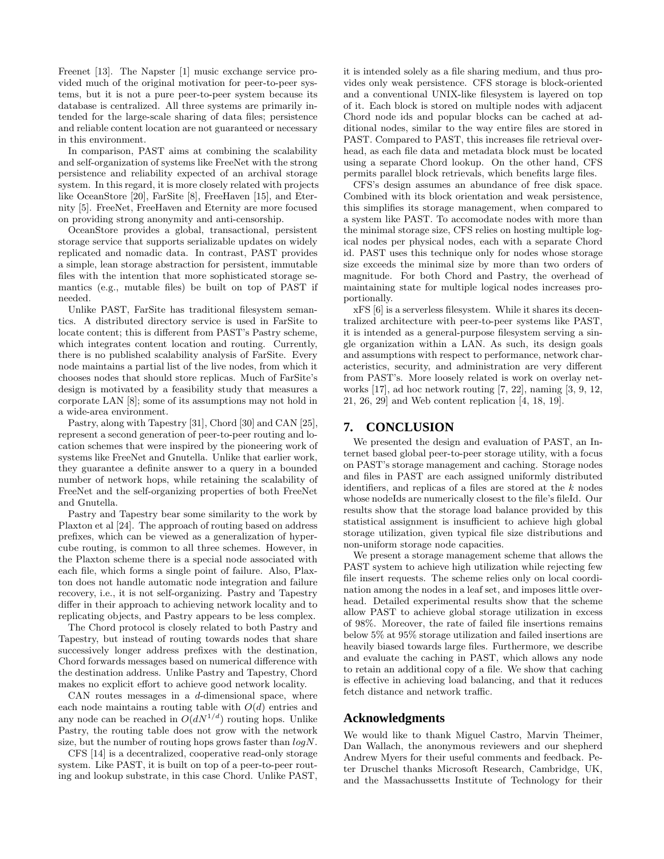Freenet [13]. The Napster [1] music exchange service provided much of the original motivation for peer-to-peer systems, but it is not a pure peer-to-peer system because its database is centralized. All three systems are primarily intended for the large-scale sharing of data files; persistence and reliable content location are not guaranteed or necessary in this environment.

In comparison, PAST aims at combining the scalability and self-organization of systems like FreeNet with the strong persistence and reliability expected of an archival storage system. In this regard, it is more closely related with projects like OceanStore [20], FarSite [8], FreeHaven [15], and Eternity [5]. FreeNet, FreeHaven and Eternity are more focused on providing strong anonymity and anti-censorship.

OceanStore provides a global, transactional, persistent storage service that supports serializable updates on widely replicated and nomadic data. In contrast, PAST provides a simple, lean storage abstraction for persistent, immutable files with the intention that more sophisticated storage semantics (e.g., mutable files) be built on top of PAST if needed.

Unlike PAST, FarSite has traditional filesystem semantics. A distributed directory service is used in FarSite to locate content; this is different from PAST's Pastry scheme, which integrates content location and routing. Currently, there is no published scalability analysis of FarSite. Every node maintains a partial list of the live nodes, from which it chooses nodes that should store replicas. Much of FarSite's design is motivated by a feasibility study that measures a corporate LAN [8]; some of its assumptions may not hold in a wide-area environment.

Pastry, along with Tapestry [31], Chord [30] and CAN [25], represent a second generation of peer-to-peer routing and location schemes that were inspired by the pioneering work of systems like FreeNet and Gnutella. Unlike that earlier work, they guarantee a definite answer to a query in a bounded number of network hops, while retaining the scalability of FreeNet and the self-organizing properties of both FreeNet and Gnutella.

Pastry and Tapestry bear some similarity to the work by Plaxton et al [24]. The approach of routing based on address prefixes, which can be viewed as a generalization of hypercube routing, is common to all three schemes. However, in the Plaxton scheme there is a special node associated with each file, which forms a single point of failure. Also, Plaxton does not handle automatic node integration and failure recovery, i.e., it is not self-organizing. Pastry and Tapestry differ in their approach to achieving network locality and to replicating objects, and Pastry appears to be less complex.

The Chord protocol is closely related to both Pastry and Tapestry, but instead of routing towards nodes that share successively longer address prefixes with the destination, Chord forwards messages based on numerical difference with the destination address. Unlike Pastry and Tapestry, Chord makes no explicit effort to achieve good network locality.

CAN routes messages in a  $d$ -dimensional space, where each node maintains a routing table with  $O(d)$  entries and any node can be reached in  $O(dN^{1/d})$  routing hops. Unlike Pastry, the routing table does not grow with the network size, but the number of routing hops grows faster than  $log N$ .

CFS [14] is a decentralized, cooperative read-only storage system. Like PAST, it is built on top of a peer-to-peer routing and lookup substrate, in this case Chord. Unlike PAST, it is intended solely as a file sharing medium, and thus provides only weak persistence. CFS storage is block-oriented and a conventional UNIX-like filesystem is layered on top of it. Each block is stored on multiple nodes with adjacent Chord node ids and popular blocks can be cached at additional nodes, similar to the way entire files are stored in PAST. Compared to PAST, this increases file retrieval overhead, as each file data and metadata block must be located using a separate Chord lookup. On the other hand, CFS permits parallel block retrievals, which benefits large files.

CFS's design assumes an abundance of free disk space. Combined with its block orientation and weak persistence, this simplifies its storage management, when compared to a system like PAST. To accomodate nodes with more than the minimal storage size, CFS relies on hosting multiple logical nodes per physical nodes, each with a separate Chord id. PAST uses this technique only for nodes whose storage size exceeds the minimal size by more than two orders of magnitude. For both Chord and Pastry, the overhead of maintaining state for multiple logical nodes increases proportionally.

xFS [6] is a serverless filesystem. While it shares its decentralized architecture with peer-to-peer systems like PAST, it is intended as a general-purpose filesystem serving a single organization within a LAN. As such, its design goals and assumptions with respect to performance, network characteristics, security, and administration are very different from PAST's. More loosely related is work on overlay networks [17], ad hoc network routing [7, 22], naming [3, 9, 12, 21, 26, 29] and Web content replication [4, 18, 19].

## **7. CONCLUSION**

We presented the design and evaluation of PAST, an Internet based global peer-to-peer storage utility, with a focus on PAST's storage management and caching. Storage nodes and files in PAST are each assigned uniformly distributed identifiers, and replicas of a files are stored at the  $k$  nodes whose nodeIds are numerically closest to the file's fileId. Our results show that the storage load balance provided by this statistical assignment is insufficient to achieve high global storage utilization, given typical file size distributions and non-uniform storage node capacities.

We present a storage management scheme that allows the PAST system to achieve high utilization while rejecting few file insert requests. The scheme relies only on local coordination among the nodes in a leaf set, and imposes little overhead. Detailed experimental results show that the scheme allow PAST to achieve global storage utilization in excess of 98%. Moreover, the rate of failed file insertions remains below 5% at 95% storage utilization and failed insertions are heavily biased towards large files. Furthermore, we describe and evaluate the caching in PAST, which allows any node to retain an additional copy of a file. We show that caching is effective in achieving load balancing, and that it reduces fetch distance and network traffic.

## **Acknowledgments**

We would like to thank Miguel Castro, Marvin Theimer, Dan Wallach, the anonymous reviewers and our shepherd Andrew Myers for their useful comments and feedback. Peter Druschel thanks Microsoft Research, Cambridge, UK, and the Massachussetts Institute of Technology for their